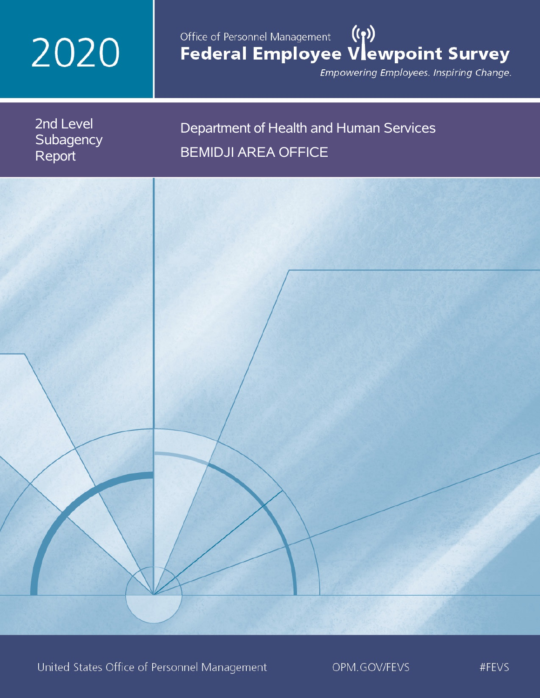# 2020

# Office of Personnel Management (())<br>Federal Employee Vlewpoint Survey

Empowering Employees. Inspiring Change.

2nd Level **Subagency** Report

# Department of Health and Human Services BEMIDJI AREA OFFICE

United States Office of Personnel Management

OPM.GOV/FEVS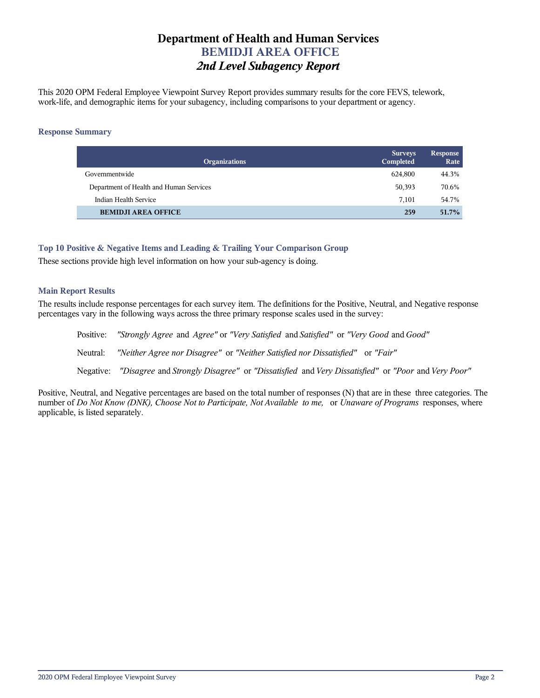# **Department of Health and Human Services BEMIDJI AREA OFFICE** *2nd Level Subagency Report*

This 2020 OPM Federal Employee Viewpoint Survey Report provides summary results for the core FEVS, telework, work-life, and demographic items for your subagency, including comparisons to your department or agency.

### **Response Summary**

| <b>Organizations</b>                    | <b>Surveys</b><br>Completed | <b>Response</b><br>Rate |
|-----------------------------------------|-----------------------------|-------------------------|
| Governmentwide                          | 624.800                     | 44.3%                   |
| Department of Health and Human Services | 50,393                      | 70.6%                   |
| Indian Health Service                   | 7.101                       | 54.7%                   |
| <b>BEMIDJI AREA OFFICE</b>              | 259                         | 51.7%                   |

# **Top 10 Positive & Negative Items and Leading & Trailing Your Comparison Group**

These sections provide high level information on how your sub-agency is doing.

# **Main Report Results**

The results include response percentages for each survey item. The definitions for the Positive, Neutral, and Negative response percentages vary in the following ways across the three primary response scales used in the survey:

Positive: *"Strongly Agree* and *Agree"* or *"Very Satisfied* and *Satisfied"* or *"Very Good* and *Good"* Neutral: *"Neither Agree nor Disagree"* or *"Neither Satisfied nor Dissatisfied"* or *"Fair"* Negative: *"Disagree* and *Strongly Disagree"* or *"Dissatisfied* and *Very Dissatisfied"* or *"Poor* and *Very Poor"*

Positive, Neutral, and Negative percentages are based on the total number of responses (N) that are in these three categories. The number of *Do Not Know (DNK), Choose Not to Participate, Not Available to me,* or *Unaware of Programs* responses, where applicable, is listed separately.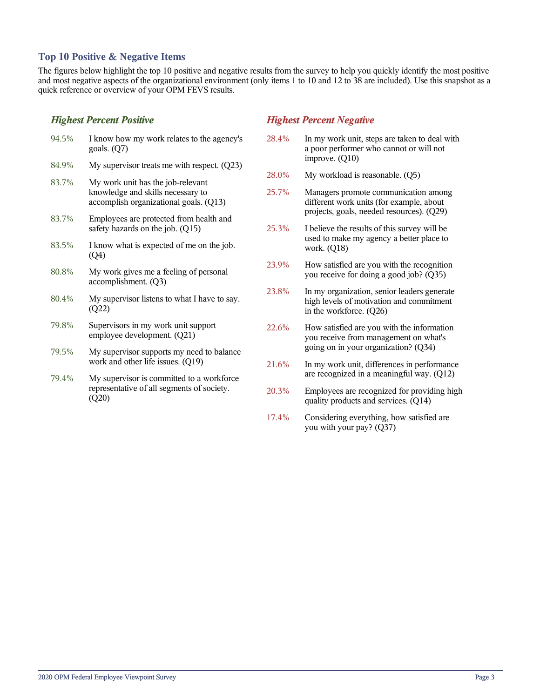# **Top 10 Positive & Negative Items**

The figures below highlight the top 10 positive and negative results from the survey to help you quickly identify the most positive and most negative aspects of the organizational environment (only items 1 to 10 and 12 to 38 are included). Use this snapshot as a quick reference or overview of your OPM FEVS results.

# *Highest Percent Positive*

(Q20)

| 94.5% | I know how my work relates to the agency's<br>goals. $(Q7)$                                                      | 28             |
|-------|------------------------------------------------------------------------------------------------------------------|----------------|
| 84.9% | My supervisor treats me with respect. $(Q23)$                                                                    |                |
| 83.7% | My work unit has the job-relevant<br>knowledge and skills necessary to<br>accomplish organizational goals. (Q13) | 28<br>25       |
| 83.7% | Employees are protected from health and<br>safety hazards on the job. (Q15)                                      | 25             |
| 83.5% | I know what is expected of me on the job.<br>(Q4)                                                                |                |
| 80.8% | My work gives me a feeling of personal<br>accomplishment. (Q3)                                                   | 2 <sup>3</sup> |
| 80.4% | My supervisor listens to what I have to say.<br>(Q22)                                                            | 2 <sup>3</sup> |
| 79.8% | Supervisors in my work unit support<br>employee development. (Q21)                                               | 22             |
| 79.5% | My supervisor supports my need to balance<br>work and other life issues. (Q19)                                   | 21             |
| 79.4% | My supervisor is committed to a workforce.                                                                       |                |

representative of all segments of society.

# *Highest Percent Negative*

- 28.4% In my work unit, steps are taken to deal with a poor performer who cannot or will not improve. (Q10)
- $28.0\%$  My workload is reasonable.  $(Q5)$
- 25.7% Managers promote communication among different work units (for example, about projects, goals, needed resources). (Q29)
- 5.3% I believe the results of this survey will be used to make my agency a better place to work. (Q18)
- 23.9% How satisfied are you with the recognition you receive for doing a good job? (Q35)
- 23.8% In my organization, senior leaders generate high levels of motivation and commitment in the workforce. (Q26)
- 22.6% How satisfied are you with the information you receive from management on what's going on in your organization? (Q34)
- 21.6% In my work unit, differences in performance are recognized in a meaningful way. (Q12)
- 20.3% Employees are recognized for providing high quality products and services. (Q14)
- 17.4% Considering everything, how satisfied are you with your pay? (Q37)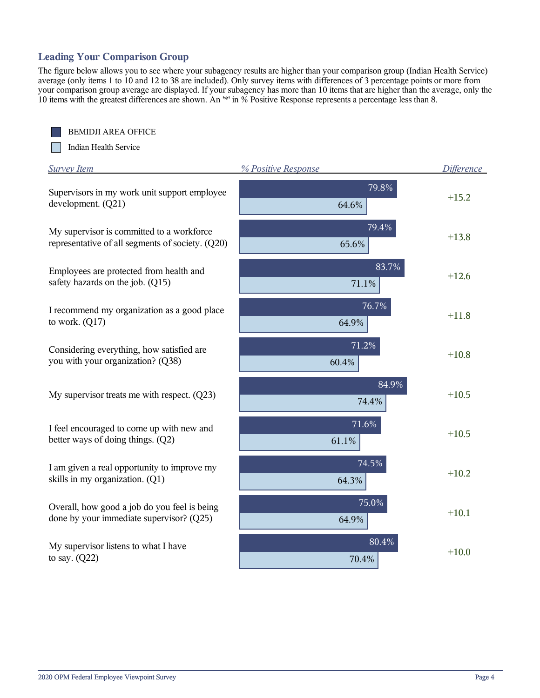# **Leading Your Comparison Group**

The figure below allows you to see where your subagency results are higher than your comparison group (Indian Health Service) average (only items 1 to 10 and 12 to 38 are included). Only survey items with differences of 3 percentage points or more from your comparison group average are displayed. If your subagency has more than 10 items that are higher than the average, only the 10 items with the greatest differences are shown. An '\*' in % Positive Response represents a percentage less than 8.

BEMIDJI AREA OFFICE

Indian Health Service

| <b>Survey Item</b>                                                                            | % Positive Response | Difference |
|-----------------------------------------------------------------------------------------------|---------------------|------------|
| Supervisors in my work unit support employee<br>development. (Q21)                            | 79.8%<br>64.6%      | $+15.2$    |
| My supervisor is committed to a workforce<br>representative of all segments of society. (Q20) | 79.4%<br>65.6%      | $+13.8$    |
| Employees are protected from health and<br>safety hazards on the job. (Q15)                   | 83.7%<br>71.1%      | $+12.6$    |
| I recommend my organization as a good place<br>to work. $(Q17)$                               | 76.7%<br>64.9%      | $+11.8$    |
| Considering everything, how satisfied are<br>you with your organization? (Q38)                | 71.2%<br>60.4%      | $+10.8$    |
| My supervisor treats me with respect. $(Q23)$                                                 | 84.9%<br>74.4%      | $+10.5$    |
| I feel encouraged to come up with new and<br>better ways of doing things. (Q2)                | $71.6\%$<br>61.1%   | $+10.5$    |
| I am given a real opportunity to improve my<br>skills in my organization. (Q1)                | 74.5%<br>64.3%      | $+10.2$    |
| Overall, how good a job do you feel is being<br>done by your immediate supervisor? (Q25)      | 75.0%<br>64.9%      | $+10.1$    |
| My supervisor listens to what I have<br>to say. $(Q22)$                                       | 80.4%<br>70.4%      | $+10.0$    |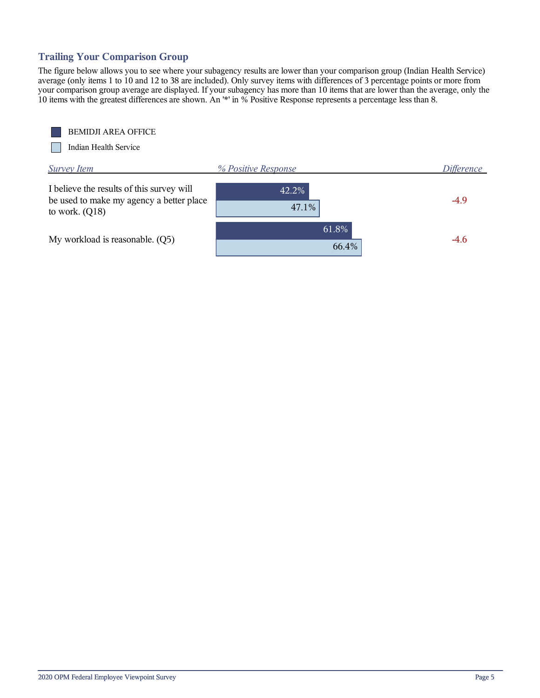# **Trailing Your Comparison Group**

The figure below allows you to see where your subagency results are lower than your comparison group (Indian Health Service) average (only items 1 to 10 and 12 to 38 are included). Only survey items with differences of 3 percentage points or more from your comparison group average are displayed. If your subagency has more than 10 items that are lower than the average, only the 10 items with the greatest differences are shown. An '\*' in % Positive Response represents a percentage less than 8.

BEMIDJI AREA OFFICE

Indian Health Service

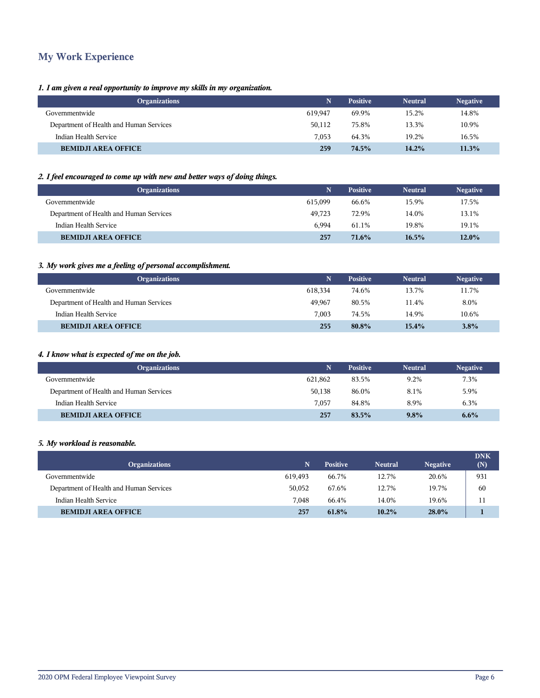# **My Work Experience**

# *1. I am given a real opportunity to improve my skills in my organization.*

|         | <b>Positive</b> | <b>Neutral</b> | <b>Negative</b> |
|---------|-----------------|----------------|-----------------|
| 619,947 | 69.9%           | 15.2%          | 14.8%           |
| 50.112  | 75.8%           | 13.3%          | 10.9%           |
| 7.053   | 64.3%           | 19.2%          | 16.5%           |
| 259     | 74.5%           | 14.2%          | 11.3%           |
|         |                 |                |                 |

### *2. I feel encouraged to come up with new and better ways of doing things.*

| <b>Organizations</b>                    | N       | <b>Positive</b> | <b>Neutral</b> | <b>Negative</b> |
|-----------------------------------------|---------|-----------------|----------------|-----------------|
| Governmentwide                          | 615.099 | 66.6%           | 15.9%          | 17.5%           |
| Department of Health and Human Services | 49.723  | 72.9%           | 14.0%          | 13.1%           |
| Indian Health Service                   | 6.994   | 61.1%           | 19.8%          | 19.1%           |
| <b>BEMIDJI AREA OFFICE</b>              | 257     | 71.6%           | 16.5%          | $12.0\%$        |

# *3. My work gives me a feeling of personal accomplishment.*

| <b>Organizations</b>                    |         | <b>Positive</b> | <b>Neutral</b> | <b>Negative</b> |
|-----------------------------------------|---------|-----------------|----------------|-----------------|
| Governmentwide                          | 618.334 | 74.6%           | 13.7%          | 11.7%           |
| Department of Health and Human Services | 49.967  | 80.5%           | 11.4%          | 8.0%            |
| Indian Health Service                   | 7.003   | 74.5%           | 14.9%          | 10.6%           |
| <b>BEMIDJI AREA OFFICE</b>              | 255     | 80.8%           | $15.4\%$       | 3.8%            |

# *4. I know what is expected of me on the job.*

| <b>Organizations</b>                    |         | <b>Positive</b> | <b>Neutral</b> | <b>Negative</b> |
|-----------------------------------------|---------|-----------------|----------------|-----------------|
| Governmentwide                          | 621.862 | 83.5%           | 9.2%           | 7.3%            |
| Department of Health and Human Services | 50.138  | 86.0%           | 8.1%           | 5.9%            |
| Indian Health Service                   | 7.057   | 84.8%           | 8.9%           | 6.3%            |
| <b>BEMIDJI AREA OFFICE</b>              | 257     | 83.5%           | $9.8\%$        | 6.6%            |

### *5. My workload is reasonable.*

| <b>Organizations</b>                    | N       | <b>Positive</b> | <b>Neutral</b> | <b>Negative</b> | <b>DNK</b><br>(N) |
|-----------------------------------------|---------|-----------------|----------------|-----------------|-------------------|
| Governmentwide                          | 619.493 | 66.7%           | 12.7%          | 20.6%           | 931               |
| Department of Health and Human Services | 50,052  | 67.6%           | 12.7%          | 19.7%           | 60                |
| Indian Health Service                   | 7.048   | 66.4%           | 14.0%          | 19.6%           | 11                |
| <b>BEMIDJI AREA OFFICE</b>              | 257     | 61.8%           | $10.2\%$       | $28.0\%$        |                   |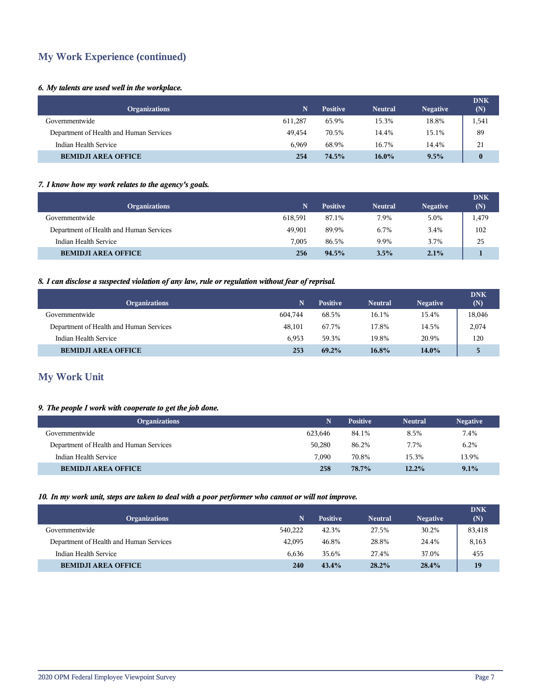# **My Work Experience (continued)**

# *6. My talents are used well in the workplace.*

| <b>Organizations</b>                    |         | <b>Positive</b> | <b>Neutral</b> | <b>Negative</b> | <b>DNK</b><br>(N) |
|-----------------------------------------|---------|-----------------|----------------|-----------------|-------------------|
| Governmentwide                          | 611.287 | 65.9%           | 15.3%          | 18.8%           | 1,541             |
| Department of Health and Human Services | 49.454  | 70.5%           | 14.4%          | 15.1%           | 89                |
| Indian Health Service                   | 6.969   | 68.9%           | 16.7%          | 14.4%           | 21                |
| <b>BEMIDJI AREA OFFICE</b>              | 254     | 74.5%           | $16.0\%$       | $9.5\%$         | $\bf{0}$          |

# *7. I know how my work relates to the agency's goals.*

| <b>Organizations</b>                    | 'N.     | <b>Positive</b> | <b>Neutral</b> | <b>Negative</b> | <b>DNK</b><br>(N) |
|-----------------------------------------|---------|-----------------|----------------|-----------------|-------------------|
| Governmentwide                          | 618,591 | 87.1%           | 7.9%           | 5.0%            | 1,479             |
| Department of Health and Human Services | 49.901  | 89.9%           | 6.7%           | 3.4%            | 102               |
| Indian Health Service                   | 7.005   | 86.5%           | 9.9%           | 3.7%            | 25                |
| <b>BEMIDJI AREA OFFICE</b>              | 256     | $94.5\%$        | $3.5\%$        | 2.1%            |                   |

# *8. I can disclose a suspected violation of any law, rule or regulation without fear of reprisal.*

| <b>Organizations</b>                    |         | <b>Positive</b> | <b>Neutral</b> | <b>Negative</b> | <b>DNK</b><br>(N) |
|-----------------------------------------|---------|-----------------|----------------|-----------------|-------------------|
| Governmentwide                          | 604.744 | 68.5%           | 16.1%          | 15.4%           | 18,046            |
| Department of Health and Human Services | 48,101  | 67.7%           | 17.8%          | 14.5%           | 2,074             |
| Indian Health Service                   | 6.953   | 59.3%           | 19.8%          | 20.9%           | 120               |
| <b>BEMIDJI AREA OFFICE</b>              | 253     | 69.2%           | 16.8%          | $14.0\%$        | 5.                |

# **My Work Unit**

# *9. The people I work with cooperate to get the job done.*

| <b>Organizations</b>                    | N       | <b>Positive</b> | <b>Neutral</b> | <b>Negative</b> |
|-----------------------------------------|---------|-----------------|----------------|-----------------|
| Governmentwide                          | 623,646 | 84.1%           | 8.5%           | 7.4%            |
| Department of Health and Human Services | 50.280  | 86.2%           | 7.7%           | 6.2%            |
| Indian Health Service                   | 7.090   | 70.8%           | 15.3%          | 13.9%           |
| <b>BEMIDJI AREA OFFICE</b>              | 258     | 78.7%           | 12.2%          | 9.1%            |

### *10. In my work unit, steps are taken to deal with a poor performer who cannot or will not improve.*

| <b>Organizations</b>                    | N       | <b>Positive</b> | <b>Neutral</b> | <b>Negative</b> | <b>DNK</b><br>(N) |
|-----------------------------------------|---------|-----------------|----------------|-----------------|-------------------|
| Governmentwide                          | 540.222 | 42.3%           | 27.5%          | 30.2%           | 83,418            |
| Department of Health and Human Services | 42,095  | 46.8%           | 28.8%          | 24.4%           | 8,163             |
| Indian Health Service                   | 6.636   | 35.6%           | 27.4%          | 37.0%           | 455               |
| <b>BEMIDJI AREA OFFICE</b>              | 240     | 43.4%           | 28.2%          | 28.4%           | 19                |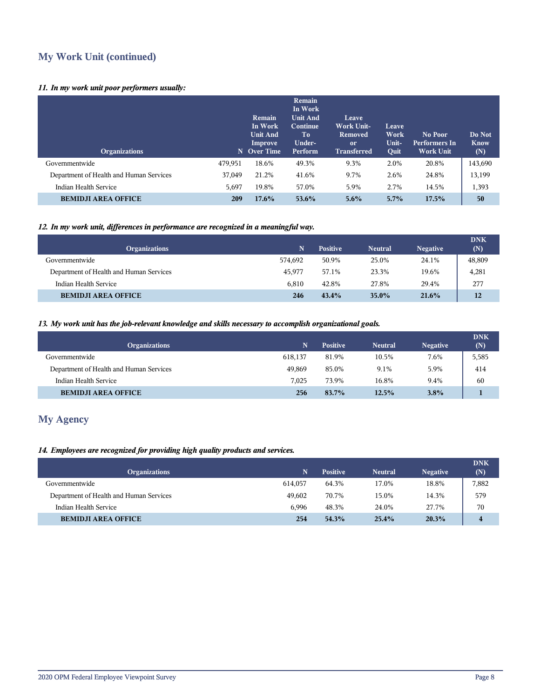# **My Work Unit (continued)**

# *11. In my work unit poor performers usually:*

| <b>Organizations</b>                    |         | Remain<br>In Work<br><b>Unit And</b><br>Improve<br>N Over Time | Remain<br>In Work<br><b>Unit And</b><br>Continue<br>Tо<br>Under-<br>Perform | Leave<br><b>Work Unit-</b><br><b>Removed</b><br><sub>or</sub><br><b>Transferred</b> | Leave<br>Work<br>Unit-<br>Quit | No Poor<br><b>Performers In</b><br><b>Work Unit</b> | Do Not<br><b>Know</b><br>(N) |
|-----------------------------------------|---------|----------------------------------------------------------------|-----------------------------------------------------------------------------|-------------------------------------------------------------------------------------|--------------------------------|-----------------------------------------------------|------------------------------|
| Governmentwide                          | 479,951 | 18.6%                                                          | 49.3%                                                                       | 9.3%                                                                                | 2.0%                           | 20.8%                                               | 143,690                      |
| Department of Health and Human Services | 37,049  | 21.2%                                                          | 41.6%                                                                       | 9.7%                                                                                | 2.6%                           | 24.8%                                               | 13,199                       |
| Indian Health Service                   | 5,697   | 19.8%                                                          | 57.0%                                                                       | 5.9%                                                                                | 2.7%                           | 14.5%                                               | 1,393                        |
| <b>BEMIDJI AREA OFFICE</b>              | 209     | $17.6\%$                                                       | $53.6\%$                                                                    | $5.6\%$                                                                             | 5.7%                           | 17.5%                                               | 50                           |

# *12. In my work unit, differences in performance are recognized in a meaningful way.*

| <b>Organizations</b>                    | N       | <b>Positive</b> | <b>Neutral</b> | <b>Negative</b> | <b>DNK</b><br>(N) |
|-----------------------------------------|---------|-----------------|----------------|-----------------|-------------------|
| Governmentwide                          | 574.692 | 50.9%           | 25.0%          | 24.1%           | 48,809            |
| Department of Health and Human Services | 45.977  | 57.1%           | 23.3%          | 19.6%           | 4,281             |
| Indian Health Service                   | 6.810   | 42.8%           | 27.8%          | 29.4%           | 277               |
| <b>BEMIDJI AREA OFFICE</b>              | 246     | 43.4%           | $35.0\%$       | 21.6%           | 12                |

# *13. My work unit has the job-relevant knowledge and skills necessary to accomplish organizational goals.*

| <b>Organizations</b>                    |         | <b>Positive</b> | <b>Neutral</b> | <b>Negative</b> | <b>DNK</b><br>(N) |
|-----------------------------------------|---------|-----------------|----------------|-----------------|-------------------|
| Governmentwide                          | 618.137 | 81.9%           | 10.5%          | 7.6%            | 5,585             |
| Department of Health and Human Services | 49.869  | 85.0%           | 9.1%           | 5.9%            | 414               |
| Indian Health Service                   | 7.025   | 73.9%           | 16.8%          | 9.4%            | 60                |
| <b>BEMIDJI AREA OFFICE</b>              | 256     | 83.7%           | 12.5%          | $3.8\%$         |                   |

# **My Agency**

# *14. Employees are recognized for providing high quality products and services.*

| <b>Organizations</b>                    | 'N.     | <b>Positive</b> | <b>Neutral</b> | <b>Negative</b> | <b>DNK</b><br>(N)       |
|-----------------------------------------|---------|-----------------|----------------|-----------------|-------------------------|
| Governmentwide                          | 614.057 | 64.3%           | 17.0%          | 18.8%           | 7,882                   |
| Department of Health and Human Services | 49.602  | 70.7%           | 15.0%          | 14.3%           | 579                     |
| Indian Health Service                   | 6.996   | 48.3%           | 24.0%          | 27.7%           | 70                      |
| <b>BEMIDJI AREA OFFICE</b>              | 254     | 54.3%           | 25.4%          | 20.3%           | $\overline{\mathbf{4}}$ |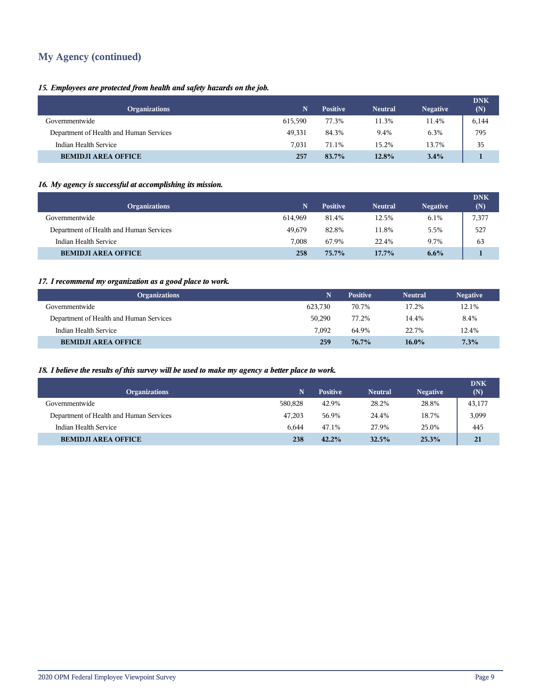# **My Agency (continued)**

# *15. Employees are protected from health and safety hazards on the job.*

| <b>Organizations</b>                    |         | <b>Positive</b> | <b>Neutral</b> | <b>Negative</b> | <b>DNK</b><br>(N) |
|-----------------------------------------|---------|-----------------|----------------|-----------------|-------------------|
| Governmentwide                          | 615.590 | 77.3%           | 11.3%          | 11.4%           | 6,144             |
| Department of Health and Human Services | 49,331  | 84.3%           | 9.4%           | 6.3%            | 795               |
| Indian Health Service                   | 7.031   | 71.1%           | 15.2%          | 13.7%           | 35                |
| <b>BEMIDJI AREA OFFICE</b>              | 257     | 83.7%           | 12.8%          | $3.4\%$         |                   |

# *16. My agency is successful at accomplishing its mission.*

| <b>Organizations</b>                    |         | <b>Positive</b> | <b>Neutral</b> | <b>Negative</b> | <b>DNK</b><br>(N) |
|-----------------------------------------|---------|-----------------|----------------|-----------------|-------------------|
| Governmentwide                          | 614.969 | 81.4%           | 12.5%          | 6.1%            | 7,377             |
| Department of Health and Human Services | 49.679  | 82.8%           | 11.8%          | 5.5%            | 527               |
| Indian Health Service                   | 7.008   | 67.9%           | 22.4%          | 9.7%            | 63                |
| <b>BEMIDJI AREA OFFICE</b>              | 258     | $75.7\%$        | $17.7\%$       | $6.6\%$         |                   |

# *17. I recommend my organization as a good place to work.*

| <b>Organizations</b>                    | N       | <b>Positive</b> | <b>Neutral</b> | <b>Negative</b> |
|-----------------------------------------|---------|-----------------|----------------|-----------------|
| Governmentwide                          | 623,730 | 70.7%           | 17.2%          | 12.1%           |
| Department of Health and Human Services | 50,290  | 77.2%           | 14.4%          | 8.4%            |
| Indian Health Service                   | 7.092   | 64.9%           | 22.7%          | 12.4%           |
| <b>BEMIDJI AREA OFFICE</b>              | 259     | $76.7\%$        | $16.0\%$       | 7.3%            |

# *18. I believe the results of this survey will be used to make my agency a better place to work.*

| <b>Organizations</b>                    | N       | <b>Positive</b> | <b>Neutral</b> | <b>Negative</b> | <b>DNK</b><br>(N) |
|-----------------------------------------|---------|-----------------|----------------|-----------------|-------------------|
| Governmentwide                          | 580.828 | 42.9%           | 28.2%          | 28.8%           | 43,177            |
| Department of Health and Human Services | 47.203  | 56.9%           | 24.4%          | 18.7%           | 3,099             |
| Indian Health Service                   | 6.644   | 47.1%           | 27.9%          | 25.0%           | 445               |
| <b>BEMIDJI AREA OFFICE</b>              | 238     | 42.2%           | 32.5%          | 25.3%           | 21                |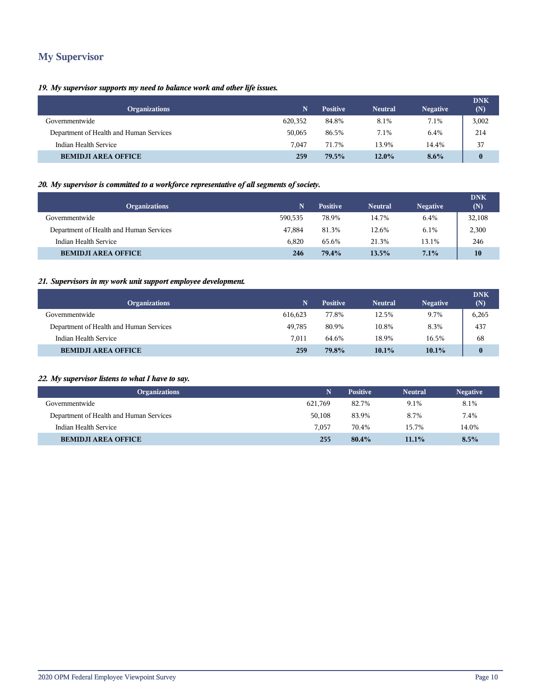# **My Supervisor**

# *19. My supervisor supports my need to balance work and other life issues.*

| <b>Organizations</b>                    | N       | <b>Positive</b> | <b>Neutral</b> | <b>Negative</b> | <b>DNK</b><br>(N) |
|-----------------------------------------|---------|-----------------|----------------|-----------------|-------------------|
| Governmentwide                          | 620,352 | 84.8%           | 8.1%           | 7.1%            | 3,002             |
| Department of Health and Human Services | 50,065  | 86.5%           | 7.1%           | 6.4%            | 214               |
| Indian Health Service                   | 7.047   | 71.7%           | 13.9%          | 14.4%           | 37                |
| <b>BEMIDJI AREA OFFICE</b>              | 259     | 79.5%           | $12.0\%$       | $8.6\%$         | $\bf{0}$          |

# *20. My supervisor is committed to a workforce representative of all segments of society.*

| <b>Organizations</b>                    | N       | <b>Positive</b> | <b>Neutral</b> | <b>Negative</b> | <b>DNK</b><br>(N) |
|-----------------------------------------|---------|-----------------|----------------|-----------------|-------------------|
| Governmentwide                          | 590.535 | 78.9%           | 14.7%          | 6.4%            | 32,108            |
| Department of Health and Human Services | 47.884  | 81.3%           | 12.6%          | 6.1%            | 2,300             |
| Indian Health Service                   | 6.820   | 65.6%           | 21.3%          | 13.1%           | 246               |
| <b>BEMIDJI AREA OFFICE</b>              | 246     | 79.4%           | 13.5%          | 7.1%            | 10                |

### *21. Supervisors in my work unit support employee development.*

| <b>Organizations</b>                    | N       | <b>Positive</b> | <b>Neutral</b> | <b>Negative</b> | <b>DNK</b><br>(N) |
|-----------------------------------------|---------|-----------------|----------------|-----------------|-------------------|
| Governmentwide                          | 616,623 | 77.8%           | 12.5%          | 9.7%            | 6,265             |
| Department of Health and Human Services | 49,785  | 80.9%           | 10.8%          | 8.3%            | 437               |
| Indian Health Service                   | 7.011   | 64.6%           | 18.9%          | 16.5%           | 68                |
| <b>BEMIDJI AREA OFFICE</b>              | 259     | 79.8%           | $10.1\%$       | $10.1\%$        | $\mathbf{0}$      |

# *22. My supervisor listens to what I have to say.*

| Organizations                           |         | <b>Positive</b> | <b>Neutral</b> | <b>Negative</b> |
|-----------------------------------------|---------|-----------------|----------------|-----------------|
| Governmentwide                          | 621.769 | 82.7%           | 9.1%           | 8.1%            |
| Department of Health and Human Services | 50,108  | 83.9%           | 8.7%           | 7.4%            |
| Indian Health Service                   | 7.057   | 70.4%           | 15.7%          | 14.0%           |
| <b>BEMIDJI AREA OFFICE</b>              | 255     | 80.4%           | $11.1\%$       | 8.5%            |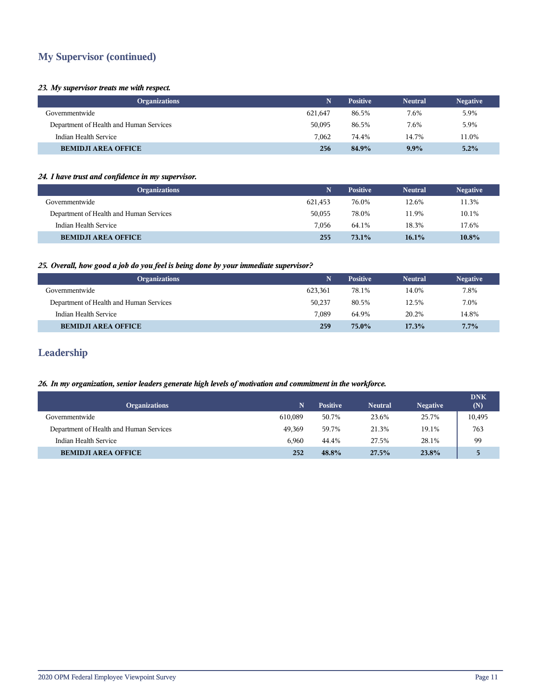# **My Supervisor (continued)**

### *23. My supervisor treats me with respect.*

| <b>Organizations</b>                    | N       | <b>Positive</b> | <b>Neutral</b> | <b>Negative</b> |
|-----------------------------------------|---------|-----------------|----------------|-----------------|
| Governmentwide                          | 621,647 | 86.5%           | 7.6%           | 5.9%            |
| Department of Health and Human Services | 50,095  | 86.5%           | 7.6%           | 5.9%            |
| Indian Health Service                   | 7.062   | 74.4%           | 14.7%          | 11.0%           |
| <b>BEMIDJI AREA OFFICE</b>              | 256     | 84.9%           | $9.9\%$        | 5.2%            |

### *24. I have trust and confidence in my supervisor.*

| <b>Organizations</b>                    | N       | <b>Positive</b> | <b>Neutral</b> | <b>Negative</b> |
|-----------------------------------------|---------|-----------------|----------------|-----------------|
| Governmentwide                          | 621,453 | 76.0%           | 12.6%          | 11.3%           |
| Department of Health and Human Services | 50.055  | 78.0%           | 11.9%          | 10.1%           |
| Indian Health Service                   | 7.056   | 64.1%           | 18.3%          | 17.6%           |
| <b>BEMIDJI AREA OFFICE</b>              | 255     | $73.1\%$        | $16.1\%$       | 10.8%           |

# *25. Overall, how good a job do you feel is being done by your immediate supervisor?*

| <b>Organizations</b>                    |         | <b>Positive</b> | <b>Neutral</b> | <b>Negative</b> |
|-----------------------------------------|---------|-----------------|----------------|-----------------|
| Governmentwide                          | 623.361 | 78.1%           | 14.0%          | 7.8%            |
| Department of Health and Human Services | 50.237  | 80.5%           | 12.5%          | 7.0%            |
| Indian Health Service                   | 7.089   | 64.9%           | 20.2%          | 14.8%           |
| <b>BEMIDJI AREA OFFICE</b>              | 259     | $75.0\%$        | 17.3%          | 7.7%            |

# **Leadership**

# *26. In my organization, senior leaders generate high levels of motivation and commitment in the workforce.*

|                                         |         |                 |                |                 | <b>DNK</b> |
|-----------------------------------------|---------|-----------------|----------------|-----------------|------------|
| <b>Organizations</b>                    |         | <b>Positive</b> | <b>Neutral</b> | <b>Negative</b> | (N)        |
| Governmentwide                          | 610.089 | 50.7%           | 23.6%          | 25.7%           | 10,495     |
| Department of Health and Human Services | 49.369  | 59.7%           | 21.3%          | 19.1%           | 763        |
| Indian Health Service                   | 6.960   | 44.4%           | 27.5%          | 28.1%           | 99         |
| <b>BEMIDJI AREA OFFICE</b>              | 252     | 48.8%           | 27.5%          | 23.8%           | 5          |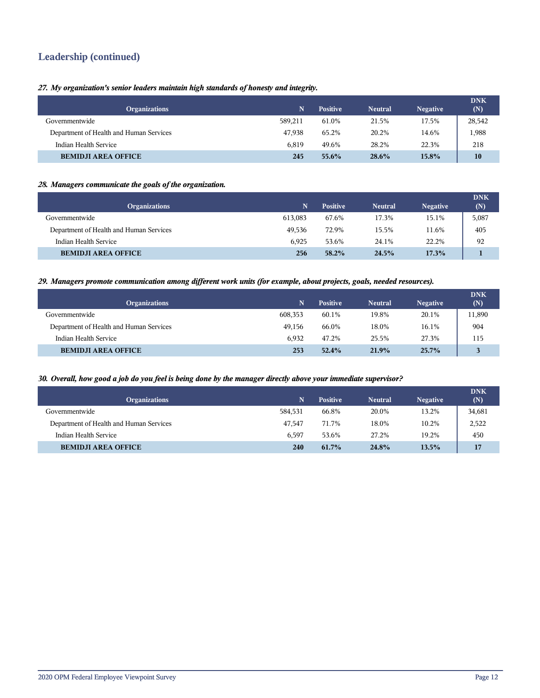# **Leadership (continued)**

*27. My organization's senior leaders maintain high standards of honesty and integrity.*

| <b>Organizations</b>                    | N       | <b>Positive</b> | <b>Neutral</b> | <b>Negative</b> | <b>DNK</b><br>(N) |
|-----------------------------------------|---------|-----------------|----------------|-----------------|-------------------|
| Governmentwide                          | 589.211 | 61.0%           | 21.5%          | 17.5%           | 28,542            |
| Department of Health and Human Services | 47.938  | 65.2%           | 20.2%          | 14.6%           | 1,988             |
| Indian Health Service                   | 6.819   | 49.6%           | 28.2%          | 22.3%           | 218               |
| <b>BEMIDJI AREA OFFICE</b>              | 245     | 55.6%           | 28.6%          | 15.8%           | 10                |

# *28. Managers communicate the goals of the organization.*

| <b>Organizations</b>                    | N       | <b>Positive</b> | <b>Neutral</b> | <b>Negative</b> | <b>DNK</b><br>(N) |
|-----------------------------------------|---------|-----------------|----------------|-----------------|-------------------|
| Governmentwide                          | 613,083 | 67.6%           | 17.3%          | 15.1%           | 5,087             |
| Department of Health and Human Services | 49.536  | 72.9%           | 15.5%          | 11.6%           | 405               |
| Indian Health Service                   | 6.925   | 53.6%           | 24.1%          | 22.2%           | 92                |
| <b>BEMIDJI AREA OFFICE</b>              | 256     | $58.2\%$        | 24.5%          | 17.3%           |                   |

### *29. Managers promote communication among different work units (for example, about projects, goals, needed resources).*

| <b>Organizations</b>                    |         | <b>Positive</b> | <b>Neutral</b> | <b>Negative</b> | <b>DNK</b><br>(N) |
|-----------------------------------------|---------|-----------------|----------------|-----------------|-------------------|
| Governmentwide                          | 608,353 | 60.1%           | 19.8%          | 20.1%           | 11,890            |
| Department of Health and Human Services | 49,156  | 66.0%           | 18.0%          | 16.1%           | 904               |
| Indian Health Service                   | 6.932   | 47.2%           | 25.5%          | 27.3%           | 115               |
| <b>BEMIDJI AREA OFFICE</b>              | 253     | 52.4%           | 21.9%          | $25.7\%$        | $\mathbf{z}$      |

### *30. Overall, how good a job do you feel is being done by the manager directly above your immediate supervisor?*

| <b>Organizations</b>                    |         | <b>Positive</b> | <b>Neutral</b> | <b>Negative</b> | <b>DNK</b><br>(N) |
|-----------------------------------------|---------|-----------------|----------------|-----------------|-------------------|
| Governmentwide                          | 584.531 | 66.8%           | 20.0%          | 13.2%           | 34,681            |
| Department of Health and Human Services | 47.547  | 71.7%           | 18.0%          | 10.2%           | 2,522             |
| Indian Health Service                   | 6.597   | 53.6%           | 27.2%          | 19.2%           | 450               |
| <b>BEMIDJI AREA OFFICE</b>              | 240     | 61.7%           | 24.8%          | 13.5%           | 17                |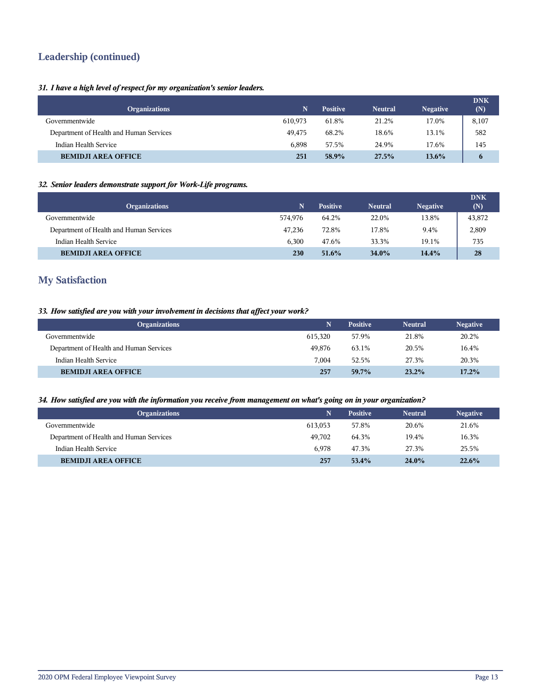# **Leadership (continued)**

# *31. I have a high level of respect for my organization's senior leaders.*

| <b>Organizations</b>                    |         | <b>Positive</b> | <b>Neutral</b> | <b>Negative</b> | <b>DNK</b><br>(N) |
|-----------------------------------------|---------|-----------------|----------------|-----------------|-------------------|
| Governmentwide                          | 610.973 | 61.8%           | 21.2%          | 17.0%           | 8,107             |
| Department of Health and Human Services | 49.475  | 68.2%           | 18.6%          | 13.1%           | 582               |
| Indian Health Service                   | 6.898   | 57.5%           | 24.9%          | 17.6%           | 145               |
| <b>BEMIDJI AREA OFFICE</b>              | 251     | 58.9%           | 27.5%          | $13.6\%$        | 6                 |

# *32. Senior leaders demonstrate support for Work-Life programs.*

|                                         |         |                 |                |                 | <b>DNK</b> |
|-----------------------------------------|---------|-----------------|----------------|-----------------|------------|
| <b>Organizations</b>                    | N       | <b>Positive</b> | <b>Neutral</b> | <b>Negative</b> | (N)        |
| Governmentwide                          | 574.976 | 64.2%           | 22.0%          | 13.8%           | 43,872     |
| Department of Health and Human Services | 47.236  | 72.8%           | 17.8%          | 9.4%            | 2,809      |
| Indian Health Service                   | 6.300   | 47.6%           | 33.3%          | 19.1%           | 735        |
| <b>BEMIDJI AREA OFFICE</b>              | 230     | 51.6%           | $34.0\%$       | 14.4%           | 28         |

# **My Satisfaction**

# *33. How satisfied are you with your involvement in decisions that affect your work?*

| <b>Organizations</b>                    |         | <b>Positive</b> | <b>Neutral</b> | <b>Negative</b> |
|-----------------------------------------|---------|-----------------|----------------|-----------------|
| Governmentwide                          | 615.320 | 57.9%           | 21.8%          | 20.2%           |
| Department of Health and Human Services | 49.876  | 63.1%           | 20.5%          | 16.4%           |
| Indian Health Service                   | 7.004   | 52.5%           | 27.3%          | 20.3%           |
| <b>BEMIDJI AREA OFFICE</b>              | 257     | 59.7%           | 23.2%          | 17.2%           |

### *34. How satisfied are you with the information you receive from management on what's going on in your organization?*

| <b>Organizations</b>                    | N       | <b>Positive</b> | <b>Neutral</b> | <b>Negative</b> |
|-----------------------------------------|---------|-----------------|----------------|-----------------|
| Governmentwide                          | 613.053 | 57.8%           | 20.6%          | 21.6%           |
| Department of Health and Human Services | 49.702  | 64.3%           | 19.4%          | 16.3%           |
| Indian Health Service                   | 6.978   | 47.3%           | 27.3%          | 25.5%           |
| <b>BEMIDJI AREA OFFICE</b>              | 257     | $53.4\%$        | $24.0\%$       | 22.6%           |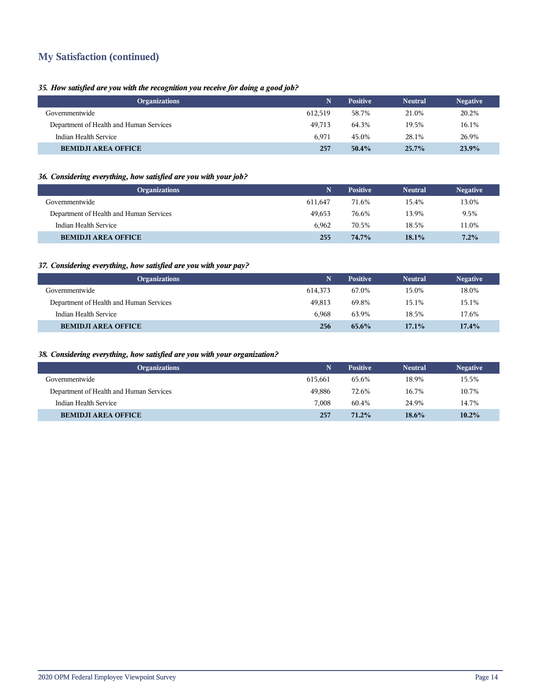# **My Satisfaction (continued)**

# *35. How satisfied are you with the recognition you receive for doing a good job?*

| <b>Organizations</b>                    |         | <b>Positive</b> | <b>Neutral</b> | <b>Negative</b> |
|-----------------------------------------|---------|-----------------|----------------|-----------------|
| Governmentwide                          | 612.519 | 58.7%           | 21.0%          | 20.2%           |
| Department of Health and Human Services | 49.713  | 64.3%           | 19.5%          | 16.1%           |
| Indian Health Service                   | 6.971   | 45.0%           | 28.1%          | 26.9%           |
| <b>BEMIDJI AREA OFFICE</b>              | 257     | $50.4\%$        | $25.7\%$       | 23.9%           |

# *36. Considering everything, how satisfied are you with your job?*

| <b>Organizations</b>                    |         | <b>Positive</b> | <b>Neutral</b> | <b>Negative</b> |
|-----------------------------------------|---------|-----------------|----------------|-----------------|
| Governmentwide                          | 611.647 | 71.6%           | 15.4%          | 13.0%           |
| Department of Health and Human Services | 49.653  | 76.6%           | 13.9%          | 9.5%            |
| Indian Health Service                   | 6.962   | 70.5%           | 18.5%          | 11.0%           |
| <b>BEMIDJI AREA OFFICE</b>              | 255     | 74.7%           | 18.1%          | $7.2\%$         |

# *37. Considering everything, how satisfied are you with your pay?*

| <b>Organizations</b>                    | Ñ       | <b>Positive</b> | <b>Neutral</b> | <b>Negative</b> |
|-----------------------------------------|---------|-----------------|----------------|-----------------|
| Governmentwide                          | 614,373 | 67.0%           | 15.0%          | 18.0%           |
| Department of Health and Human Services | 49.813  | 69.8%           | 15.1%          | 15.1%           |
| Indian Health Service                   | 6.968   | 63.9%           | 18.5%          | 17.6%           |
| <b>BEMIDJI AREA OFFICE</b>              | 256     | $65.6\%$        | $17.1\%$       | 17.4%           |

# *38. Considering everything, how satisfied are you with your organization?*

| <b>Organizations</b>                    |         | <b>Positive</b> | <b>Neutral</b> | <b>Negative</b> |
|-----------------------------------------|---------|-----------------|----------------|-----------------|
| Governmentwide                          | 615,661 | 65.6%           | 18.9%          | 15.5%           |
| Department of Health and Human Services | 49.886  | 72.6%           | 16.7%          | 10.7%           |
| Indian Health Service                   | 7.008   | 60.4%           | 24.9%          | 14.7%           |
| <b>BEMIDJI AREA OFFICE</b>              | 257     | $71.2\%$        | $18.6\%$       | 10.2%           |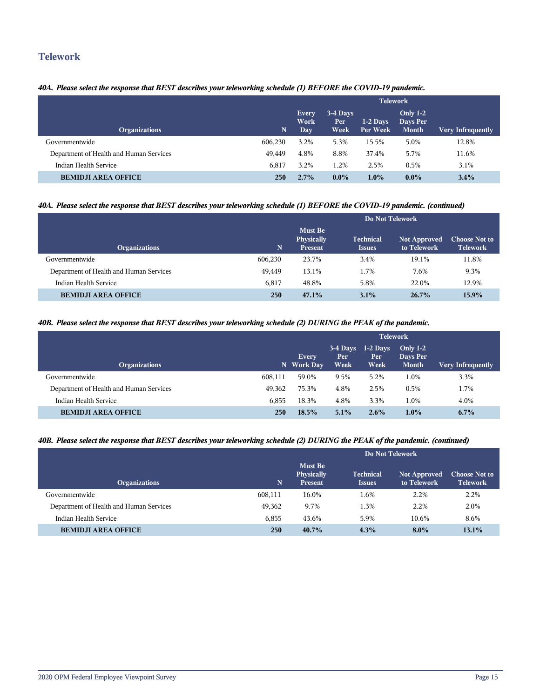# **Telework**

# *40A. Please select the response that BEST describes your teleworking schedule (1) BEFORE the COVID-19 pandemic.*

|                                         |             | <b>Telework</b>       |                                      |                        |                                        |                          |  |  |
|-----------------------------------------|-------------|-----------------------|--------------------------------------|------------------------|----------------------------------------|--------------------------|--|--|
| <b>Organizations</b>                    | $\mathbf N$ | Every<br>Work<br>Day. | 3-4 Days<br>Per <sup>1</sup><br>Week | $1-2$ Days<br>Per Week | Only $1-2$<br>Days Per<br><b>Month</b> | <b>Very Infrequently</b> |  |  |
| Governmentwide                          | 606.230     | 3.2%                  | 5.3%                                 | 15.5%                  | 5.0%                                   | 12.8%                    |  |  |
| Department of Health and Human Services | 49.449      | 4.8%                  | 8.8%                                 | 37.4%                  | 5.7%                                   | 11.6%                    |  |  |
| Indian Health Service                   | 6.817       | 3.2%                  | 1.2%                                 | 2.5%                   | 0.5%                                   | 3.1%                     |  |  |
| <b>BEMIDJI AREA OFFICE</b>              | 250         | 2.7%                  | $0.0\%$                              | $1.0\%$                | $0.0\%$                                | $3.4\%$                  |  |  |

# *40A. Please select the response that BEST describes your teleworking schedule (1) BEFORE the COVID-19 pandemic. (continued)*

|                                         |         | Do Not Telework                                |                                   |                                    |                                         |  |  |
|-----------------------------------------|---------|------------------------------------------------|-----------------------------------|------------------------------------|-----------------------------------------|--|--|
| <b>Organizations</b>                    | 'N.     | <b>Must Be</b><br>Physically<br><b>Present</b> | <b>Technical</b><br><b>Issues</b> | <b>Not Approved</b><br>to Telework | <b>Choose Not to</b><br><b>Telework</b> |  |  |
| Governmentwide                          | 606,230 | 23.7%                                          | 3.4%                              | 19.1%                              | 11.8%                                   |  |  |
| Department of Health and Human Services | 49.449  | 13.1%                                          | 1.7%                              | 7.6%                               | 9.3%                                    |  |  |
| Indian Health Service                   | 6,817   | 48.8%                                          | 5.8%                              | 22.0%                              | 12.9%                                   |  |  |
| <b>BEMIDJI AREA OFFICE</b>              | 250     | 47.1%                                          | 3.1%                              | $26.7\%$                           | 15.9%                                   |  |  |

### *40B. Please select the response that BEST describes your teleworking schedule (2) DURING the PEAK of the pandemic.*

|                                         |         | <b>Telework</b>            |                            |                            |                                        |                   |  |
|-----------------------------------------|---------|----------------------------|----------------------------|----------------------------|----------------------------------------|-------------------|--|
| <b>Organizations</b>                    |         | <b>Every</b><br>N Work Day | $3-4$ Days<br>Per.<br>Week | $1-2$ Days<br>Per.<br>Week | Only $1-2$<br>Days Per<br><b>Month</b> | Very Infrequently |  |
| Governmentwide                          | 608,111 | 59.0%                      | 9.5%                       | 5.2%                       | 1.0%                                   | 3.3%              |  |
| Department of Health and Human Services | 49.362  | 75.3%                      | 4.8%                       | 2.5%                       | 0.5%                                   | 1.7%              |  |
| Indian Health Service                   | 6.855   | 18.3%                      | 4.8%                       | 3.3%                       | 1.0%                                   | 4.0%              |  |
| <b>BEMIDJI AREA OFFICE</b>              | 250     | 18.5%                      | 5.1%                       | $2.6\%$                    | $1.0\%$                                | $6.7\%$           |  |

# *40B. Please select the response that BEST describes your teleworking schedule (2) DURING the PEAK of the pandemic. (continued)*

|                                         |         | Do Not Telework                                |                                   |                                    |                                         |  |  |
|-----------------------------------------|---------|------------------------------------------------|-----------------------------------|------------------------------------|-----------------------------------------|--|--|
| <b>Organizations</b>                    | N.      | <b>Must Be</b><br>Physically<br><b>Present</b> | <b>Technical</b><br><b>Issues</b> | <b>Not Approved</b><br>to Telework | <b>Choose Not to</b><br><b>Telework</b> |  |  |
| Governmentwide                          | 608,111 | 16.0%                                          | 1.6%                              | 2.2%                               | 2.2%                                    |  |  |
| Department of Health and Human Services | 49,362  | 9.7%                                           | 1.3%                              | 2.2%                               | 2.0%                                    |  |  |
| Indian Health Service                   | 6,855   | 43.6%                                          | 5.9%                              | 10.6%                              | 8.6%                                    |  |  |
| <b>BEMIDJI AREA OFFICE</b>              | 250     | 40.7%                                          | 4.3%                              | $8.0\%$                            | 13.1%                                   |  |  |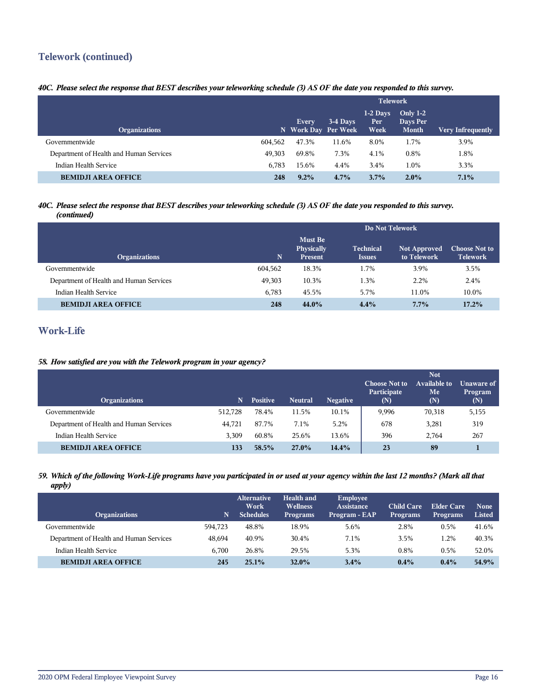# **Telework (continued)**

# *40C. Please select the response that BEST describes your teleworking schedule (3) AS OF the date you responded to this survey.*

|                                         |         | <b>Telework</b>              |          |                            |                                             |                          |
|-----------------------------------------|---------|------------------------------|----------|----------------------------|---------------------------------------------|--------------------------|
| <b>Organizations</b>                    |         | Every<br>N Work Day Per Week | 3-4 Days | $1-2$ Days<br>Per.<br>Week | <b>Only 1-2</b><br>Days Per<br><b>Month</b> | <b>Very Infrequently</b> |
| Governmentwide                          | 604,562 | 47.3%                        | 11.6%    | 8.0%                       | 1.7%                                        | 3.9%                     |
| Department of Health and Human Services | 49.303  | 69.8%                        | 7.3%     | 4.1%                       | 0.8%                                        | 1.8%                     |
| Indian Health Service                   | 6.783   | 15.6%                        | 4.4%     | 3.4%                       | 1.0%                                        | 3.3%                     |
| <b>BEMIDJI AREA OFFICE</b>              | 248     | $9.2\%$                      | $4.7\%$  | $3.7\%$                    | $2.0\%$                                     | 7.1%                     |

### *40C. Please select the response that BEST describes your teleworking schedule (3) AS OF the date you responded to this survey. (continued)*

|                                         |         | Do Not Telework                  |                                   |                                    |                                         |  |  |
|-----------------------------------------|---------|----------------------------------|-----------------------------------|------------------------------------|-----------------------------------------|--|--|
| <b>Organizations</b>                    | N.      | Must Be<br>Physically<br>Present | <b>Technical</b><br><b>Issues</b> | <b>Not Approved</b><br>to Telework | <b>Choose Not to</b><br><b>Telework</b> |  |  |
| Governmentwide                          | 604,562 | 18.3%                            | 1.7%                              | 3.9%                               | 3.5%                                    |  |  |
| Department of Health and Human Services | 49,303  | 10.3%                            | 1.3%                              | 2.2%                               | 2.4%                                    |  |  |
| Indian Health Service                   | 6.783   | 45.5%                            | 5.7%                              | 11.0%                              | 10.0%                                   |  |  |
| <b>BEMIDJI AREA OFFICE</b>              | 248     | 44.0%                            | 4.4%                              | 7.7%                               | 17.2%                                   |  |  |

# **Work-Life**

# *58. How satisfied are you with the Telework program in your agency?*

| <b>Organizations</b>                    | N       | <b>Positive</b> | <b>Neutral</b> | <b>Negative</b> | <b>Choose Not to</b><br>Participate<br>(N) | <b>Not</b><br><b>Available to</b><br>Me<br>(N) | Unaware of<br>Program<br>(N) |
|-----------------------------------------|---------|-----------------|----------------|-----------------|--------------------------------------------|------------------------------------------------|------------------------------|
| Governmentwide                          | 512.728 | 78.4%           | 11.5%          | 10.1%           | 9,996                                      | 70,318                                         | 5,155                        |
| Department of Health and Human Services | 44,721  | 87.7%           | 7.1%           | 5.2%            | 678                                        | 3,281                                          | 319                          |
| Indian Health Service                   | 3.309   | 60.8%           | 25.6%          | 13.6%           | 396                                        | 2.764                                          | 267                          |
| <b>BEMIDJI AREA OFFICE</b>              | 133     | 58.5%           | 27.0%          | 14.4%           | 23                                         | 89                                             |                              |

### *59. Which of the following Work-Life programs have you participated in or used at your agency within the last 12 months? (Mark all that apply)*

| <b>Organizations</b>                    | N       | <b>Alternative</b><br>Work<br><b>Schedules</b> | <b>Health and</b><br><b>Wellness</b><br><b>Programs</b> | Employee<br><b>Assistance</b><br>Program - EAP | <b>Child Care</b><br><b>Programs</b> | Elder Care<br><b>Programs</b> | <b>None</b><br><b>Listed</b> |
|-----------------------------------------|---------|------------------------------------------------|---------------------------------------------------------|------------------------------------------------|--------------------------------------|-------------------------------|------------------------------|
| Governmentwide                          | 594.723 | 48.8%                                          | 18.9%                                                   | 5.6%                                           | 2.8%                                 | 0.5%                          | 41.6%                        |
| Department of Health and Human Services | 48.694  | 40.9%                                          | 30.4%                                                   | 7.1%                                           | 3.5%                                 | 1.2%                          | 40.3%                        |
| Indian Health Service                   | 6.700   | 26.8%                                          | 29.5%                                                   | 5.3%                                           | 0.8%                                 | 0.5%                          | 52.0%                        |
| <b>BEMIDJI AREA OFFICE</b>              | 245     | 25.1%                                          | $32.0\%$                                                | $3.4\%$                                        | $0.4\%$                              | $0.4\%$                       | 54.9%                        |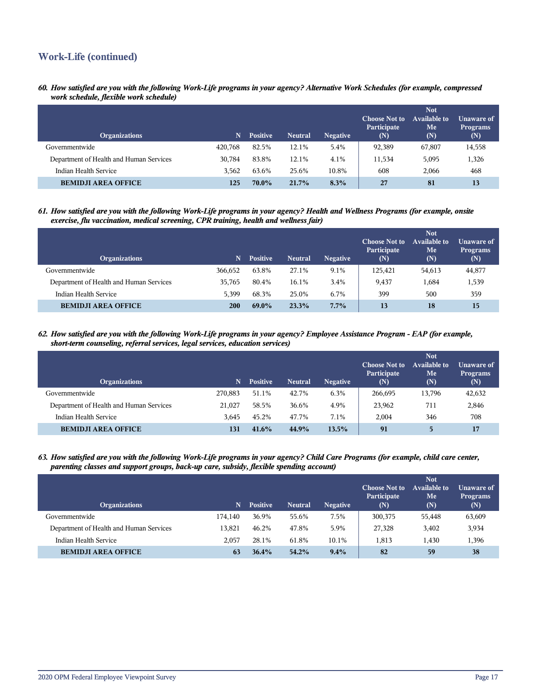# **Work-Life (continued)**

*60. How satisfied are you with the following Work-Life programs in your agency? Alternative Work Schedules (for example, compressed work schedule, flexible work schedule)*

| <b>Organizations</b>                    | N       | <b>Positive</b> | <b>Neutral</b> | <b>Negative</b> | <b>Choose Not to</b><br>Participate<br>(N) | <b>Not</b><br><b>Available to</b><br>Me<br>(N) | Unaware of<br><b>Programs</b><br>(N) |
|-----------------------------------------|---------|-----------------|----------------|-----------------|--------------------------------------------|------------------------------------------------|--------------------------------------|
| Governmentwide                          | 420,768 | 82.5%           | 12.1%          | 5.4%            | 92,389                                     | 67,807                                         | 14,558                               |
| Department of Health and Human Services | 30.784  | 83.8%           | 12.1%          | 4.1%            | 11,534                                     | 5,095                                          | 1,326                                |
| Indian Health Service                   | 3.562   | 63.6%           | 25.6%          | 10.8%           | 608                                        | 2,066                                          | 468                                  |
| <b>BEMIDJI AREA OFFICE</b>              | 125     | 70.0%           | 21.7%          | 8.3%            | 27                                         | 81                                             | 13                                   |

*61. How satisfied are you with the following Work-Life programs in your agency? Health and Wellness Programs (for example, onsite exercise, flu vaccination, medical screening, CPR training, health and wellness fair)*

| <b>Organizations</b>                    | N       | <b>Positive</b> | <b>Neutral</b> | <b>Negative</b> | <b>Choose Not to</b><br>Participate<br>(N) | <b>Not</b><br>Available to<br>Me<br>(N) | Unaware of<br><b>Programs</b><br>(N) |
|-----------------------------------------|---------|-----------------|----------------|-----------------|--------------------------------------------|-----------------------------------------|--------------------------------------|
| Governmentwide                          | 366.652 | 63.8%           | 27.1%          | 9.1%            | 125,421                                    | 54,613                                  | 44,877                               |
| Department of Health and Human Services | 35.765  | 80.4%           | 16.1%          | 3.4%            | 9.437                                      | 1,684                                   | 1,539                                |
| Indian Health Service                   | 5.399   | 68.3%           | 25.0%          | 6.7%            | 399                                        | 500                                     | 359                                  |
| <b>BEMIDJI AREA OFFICE</b>              | 200     | 69.0%           | 23.3%          | 7.7%            | 13                                         | 18                                      | 15                                   |

*62. How satisfied are you with the following Work-Life programs in your agency? Employee Assistance Program - EAP (for example, short-term counseling, referral services, legal services, education services)*

| <b>Organizations</b>                    | N       | <b>Positive</b> | <b>Neutral</b> | <b>Negative</b> | <b>Choose Not to</b><br>Participate<br>(N) | <b>Not</b><br>Available to<br>Me<br>(N) | Unaware of<br><b>Programs</b><br>(N) |
|-----------------------------------------|---------|-----------------|----------------|-----------------|--------------------------------------------|-----------------------------------------|--------------------------------------|
| Governmentwide                          | 270.883 | 51.1%           | 42.7%          | 6.3%            | 266.695                                    | 13,796                                  | 42,632                               |
| Department of Health and Human Services | 21,027  | 58.5%           | 36.6%          | 4.9%            | 23,962                                     | 711                                     | 2,846                                |
| Indian Health Service                   | 3.645   | 45.2%           | 47.7%          | 7.1%            | 2.004                                      | 346                                     | 708                                  |
| <b>BEMIDJI AREA OFFICE</b>              | 131     | 41.6%           | 44.9%          | 13.5%           | 91                                         | 5                                       | 17                                   |

*63. How satisfied are you with the following Work-Life programs in your agency? Child Care Programs (for example, child care center, parenting classes and support groups, back-up care, subsidy, flexible spending account)*

| <b>Organizations</b>                    | N       | <b>Positive</b> | <b>Neutral</b> | <b>Negative</b> | <b>Choose Not to</b><br>Participate<br>(N) | <b>Not</b><br><b>Available to</b><br>Me<br>(N) | Unaware of<br><b>Programs</b><br>(N) |
|-----------------------------------------|---------|-----------------|----------------|-----------------|--------------------------------------------|------------------------------------------------|--------------------------------------|
| Governmentwide                          | 174.140 | 36.9%           | 55.6%          | 7.5%            | 300,375                                    | 55,448                                         | 63,609                               |
| Department of Health and Human Services | 13.821  | 46.2%           | 47.8%          | 5.9%            | 27,328                                     | 3,402                                          | 3,934                                |
| Indian Health Service                   | 2.057   | 28.1%           | 61.8%          | 10.1%           | 1.813                                      | 1,430                                          | 1,396                                |
| <b>BEMIDJI AREA OFFICE</b>              | 63      | 36.4%           | 54.2%          | $9.4\%$         | 82                                         | 59                                             | 38                                   |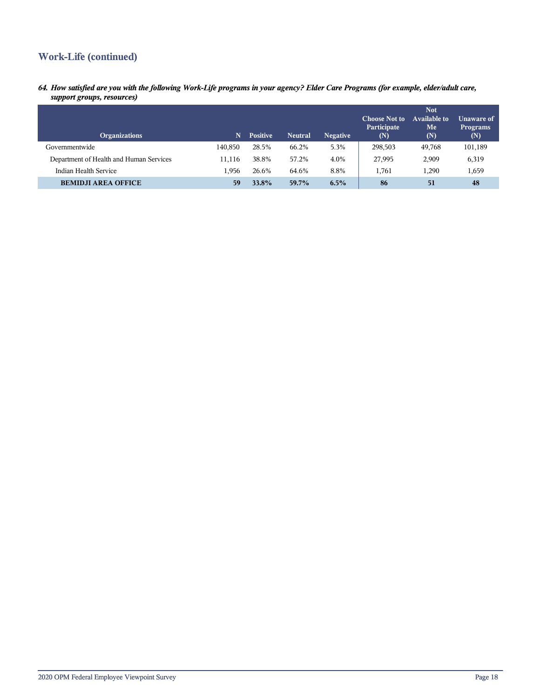# **Work-Life (continued)**

*64. How satisfied are you with the following Work-Life programs in your agency? Elder Care Programs (for example, elder/adult care, support groups, resources)*

| <b>Organizations</b>                    | N       | <b>Positive</b> | <b>Neutral</b> | <b>Negative</b> | <b>Choose Not to</b><br>Participate<br>(N) | <b>Not</b><br>Available to<br>Me<br>(N) | Unaware of<br><b>Programs</b><br>(N) |
|-----------------------------------------|---------|-----------------|----------------|-----------------|--------------------------------------------|-----------------------------------------|--------------------------------------|
| Governmentwide                          | 140.850 | 28.5%           | 66.2%          | 5.3%            | 298,503                                    | 49,768                                  | 101,189                              |
| Department of Health and Human Services | 11.116  | 38.8%           | 57.2%          | 4.0%            | 27,995                                     | 2,909                                   | 6,319                                |
| Indian Health Service                   | 1.956   | 26.6%           | 64.6%          | 8.8%            | 1,761                                      | 1,290                                   | 1,659                                |
| <b>BEMIDJI AREA OFFICE</b>              | 59      | 33.8%           | 59.7%          | $6.5\%$         | 86                                         | 51                                      | 48                                   |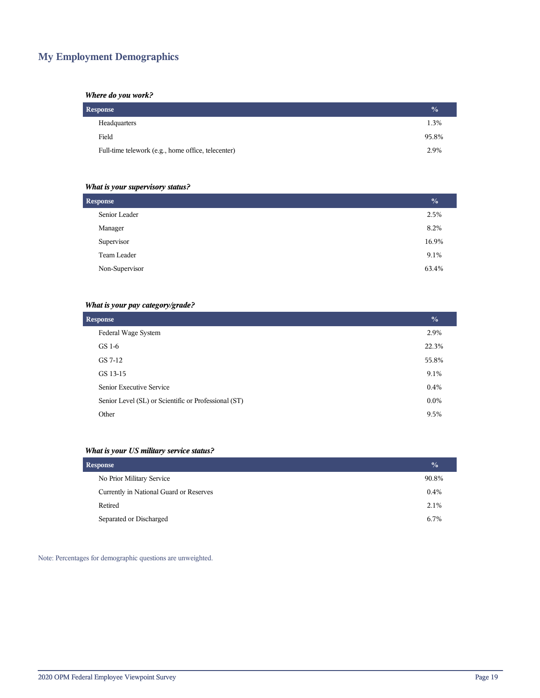# **My Employment Demographics**

# *Where do you work?*

| Response                                           | $\frac{0}{2}$ |
|----------------------------------------------------|---------------|
| Headquarters                                       | 1.3%          |
| Field                                              | 95.8%         |
| Full-time telework (e.g., home office, telecenter) | 2.9%          |

# *What is your supervisory status?*

| <b>Response</b> |       |
|-----------------|-------|
| Senior Leader   | 2.5%  |
| Manager         | 8.2%  |
| Supervisor      | 16.9% |
| Team Leader     | 9.1%  |
| Non-Supervisor  | 63.4% |
|                 |       |

# *What is your pay category/grade?*

| <b>Response</b>                                      | $\frac{0}{0}$ |
|------------------------------------------------------|---------------|
| Federal Wage System                                  | 2.9%          |
| GS 1-6                                               | 22.3%         |
| GS 7-12                                              | 55.8%         |
| GS 13-15                                             | 9.1%          |
| Senior Executive Service                             | 0.4%          |
| Senior Level (SL) or Scientific or Professional (ST) | $0.0\%$       |
| Other                                                | 9.5%          |

# *What is your US military service status?*

| <b>Response</b>                         | $\frac{1}{2}$ |
|-----------------------------------------|---------------|
| No Prior Military Service               | 90.8%         |
| Currently in National Guard or Reserves | 0.4%          |
| Retired                                 | 2.1%          |
| Separated or Discharged                 | 6.7%          |

Note: Percentages for demographic questions are unweighted.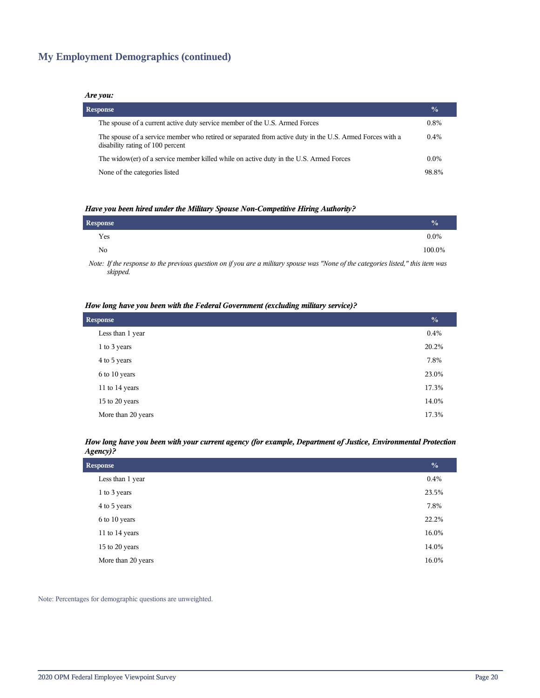# **My Employment Demographics (continued)**

### *Are you:*

| <b>Response</b>                                                                                                                              | $\frac{0}{0}$ |
|----------------------------------------------------------------------------------------------------------------------------------------------|---------------|
| The spouse of a current active duty service member of the U.S. Armed Forces                                                                  | $0.8\%$       |
| The spouse of a service member who retired or separated from active duty in the U.S. Armed Forces with a<br>disability rating of 100 percent | $0.4\%$       |
| The widow(er) of a service member killed while on active duty in the U.S. Armed Forces                                                       | $0.0\%$       |
| None of the categories listed                                                                                                                | 98.8%         |

### *Have you been hired under the Military Spouse Non-Competitive Hiring Authority?*

| Response |                                                                                                                 |  |       |  |   | $\frac{0}{0}$ |
|----------|-----------------------------------------------------------------------------------------------------------------|--|-------|--|---|---------------|
| Yes      |                                                                                                                 |  |       |  |   | $0.0\%$       |
| No       |                                                                                                                 |  |       |  |   | 100.0%        |
|          | the contract of the contract of the contract of the contract of the contract of the contract of the contract of |  | $  -$ |  | . |               |

*Note: If the response to the previous question on if you are a military spouse was "None of the categories listed," this item was skipped.*

### *How long have you been with the Federal Government (excluding military service)?*

| <b>Response</b>    | $\frac{0}{0}$ |
|--------------------|---------------|
| Less than 1 year   | 0.4%          |
| 1 to 3 years       | 20.2%         |
| 4 to 5 years       | 7.8%          |
| 6 to 10 years      | 23.0%         |
| 11 to 14 years     | 17.3%         |
| 15 to 20 years     | 14.0%         |
| More than 20 years | 17.3%         |

### *How long have you been with your current agency (for example, Department of Justice, Environmental Protection Agency)?*

| <b>Response</b>    | $\frac{0}{0}$ |
|--------------------|---------------|
| Less than 1 year   | $0.4\%$       |
| 1 to 3 years       | 23.5%         |
| 4 to 5 years       | 7.8%          |
| 6 to 10 years      | 22.2%         |
| 11 to 14 years     | 16.0%         |
| 15 to 20 years     | 14.0%         |
| More than 20 years | 16.0%         |

Note: Percentages for demographic questions are unweighted.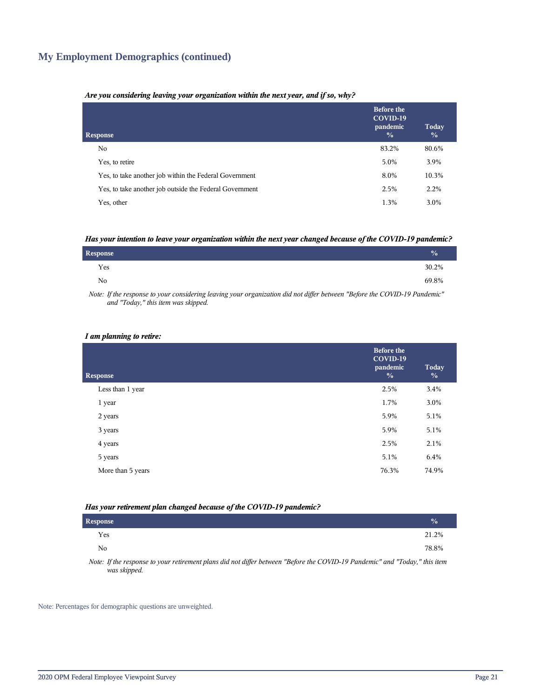# **My Employment Demographics (continued)**

### *Are you considering leaving your organization within the next year, and if so, why?*

| <b>Response</b>                                         | <b>Before the</b><br>COVID-19<br>pandemic<br>$\frac{0}{0}$ | Today<br>$\frac{0}{0}$ |
|---------------------------------------------------------|------------------------------------------------------------|------------------------|
| No.                                                     | 83.2%                                                      | 80.6%                  |
| Yes, to retire                                          | 5.0%                                                       | 3.9%                   |
| Yes, to take another job within the Federal Government  | 8.0%                                                       | 10.3%                  |
| Yes, to take another job outside the Federal Government | 2.5%                                                       | 2.2%                   |
| Yes, other                                              | 1.3%                                                       | 3.0%                   |

### *Has your intention to leave your organization within the next year changed because of the COVID-19 pandemic?*

| <b>Response</b> | $\frac{1}{2}$ |
|-----------------|---------------|
| Yes             | 30.2%         |
| No.             | 69.8%         |

*Note: If the response to your considering leaving your organization did not differ between "Before the COVID-19 Pandemic" and "Today," this item was skipped.*

### *I am planning to retire:*

| <b>Response</b>   | <b>Before the</b><br>COVID-19<br>pandemic<br>$\frac{0}{0}$ | Today<br>$\frac{0}{0}$ |
|-------------------|------------------------------------------------------------|------------------------|
| Less than 1 year  | 2.5%                                                       | 3.4%                   |
| 1 year            | 1.7%                                                       | 3.0%                   |
| 2 years           | 5.9%                                                       | 5.1%                   |
| 3 years           | 5.9%                                                       | 5.1%                   |
| 4 years           | 2.5%                                                       | 2.1%                   |
| 5 years           | 5.1%                                                       | 6.4%                   |
| More than 5 years | 76.3%                                                      | 74.9%                  |
|                   |                                                            |                        |

### *Has your retirement plan changed because of the COVID-19 pandemic?*

| <b>Response</b> |  |  |  |  |                                                                                                                                                                                                                                                                                                                   |  | $\frac{0}{0}$ |
|-----------------|--|--|--|--|-------------------------------------------------------------------------------------------------------------------------------------------------------------------------------------------------------------------------------------------------------------------------------------------------------------------|--|---------------|
| Yes             |  |  |  |  |                                                                                                                                                                                                                                                                                                                   |  | 21.2%         |
| No              |  |  |  |  |                                                                                                                                                                                                                                                                                                                   |  | 78.8%         |
| $\mathbf{v}$    |  |  |  |  | $\mathcal{L}$ and $\mathcal{L}$ and $\mathcal{L}$ and $\mathcal{L}$ are $\mathcal{L}$ and $\mathcal{L}$ are $\mathcal{L}$ and $\mathcal{L}$ and $\mathcal{L}$ and $\mathcal{L}$ and $\mathcal{L}$ and $\mathcal{L}$ and $\mathcal{L}$ and $\mathcal{L}$ and $\mathcal{L}$ and $\mathcal{L}$ and $\mathcal{L}$ and |  |               |

*Note: If the response to your retirement plans did not differ between "Before the COVID-19 Pandemic" and "Today," this item was skipped.*

Note: Percentages for demographic questions are unweighted.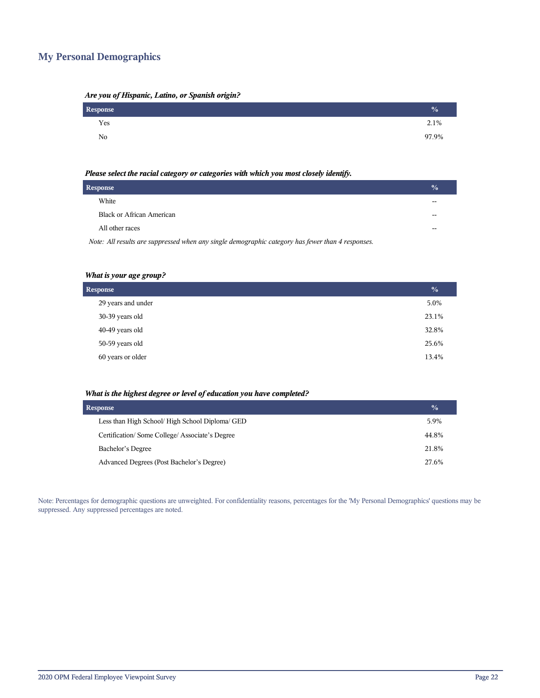# **My Personal Demographics**

| Are you of Hispanic, Latino, or Spanish origin? |  |  |  |
|-------------------------------------------------|--|--|--|
|                                                 |  |  |  |

| Response | $\frac{0}{0}$ |
|----------|---------------|
| Yes      | 2.1%          |
| No       | 97.9%         |

### *Please select the racial category or categories with which you most closely identify.*

| Response                                                                                          | $\frac{1}{2}$ |
|---------------------------------------------------------------------------------------------------|---------------|
| White                                                                                             | --            |
| <b>Black or African American</b>                                                                  | --            |
| All other races                                                                                   | --            |
| Note: All results are suppressed when any single demographic category has fewer than 4 responses. |               |

# *What is your age group?*

| <b>Response</b>    | $\frac{0}{0}$ |
|--------------------|---------------|
| 29 years and under | 5.0%          |
| 30-39 years old    | 23.1%         |
| 40-49 years old    | 32.8%         |
| 50-59 years old    | 25.6%         |
| 60 years or older  | 13.4%         |

### *What is the highest degree or level of education you have completed?*

| <b>Response</b>                                 | $\frac{0}{0}$ |
|-------------------------------------------------|---------------|
| Less than High School/ High School Diploma/ GED | 5.9%          |
| Certification/Some College/Associate's Degree   | 44.8%         |
| Bachelor's Degree                               | 21.8%         |
| Advanced Degrees (Post Bachelor's Degree)       | 27.6%         |

Note: Percentages for demographic questions are unweighted. For confidentiality reasons, percentages for the 'My Personal Demographics' questions may be suppressed. Any suppressed percentages are noted.